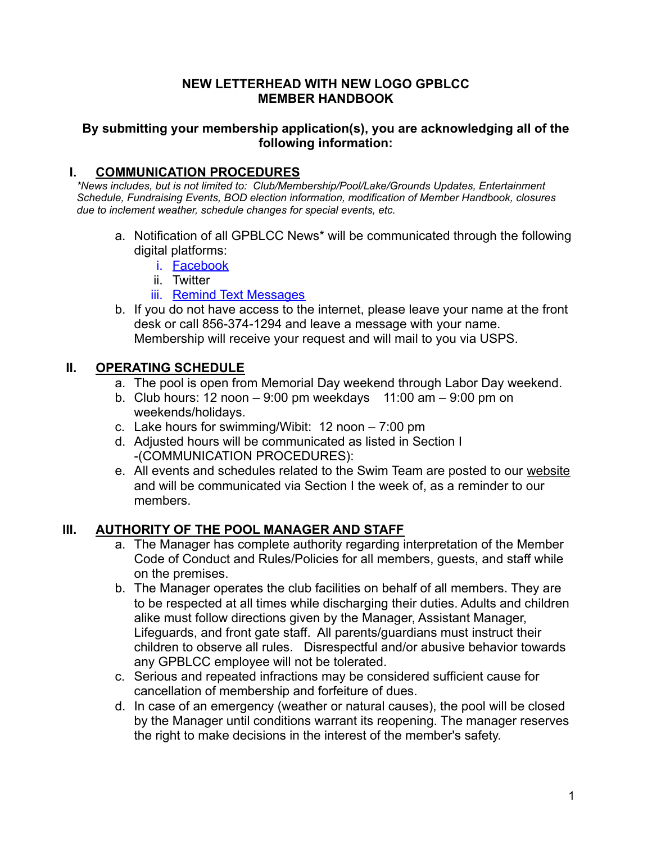#### **NEW LETTERHEAD WITH NEW LOGO GPBLCC MEMBER HANDBOOK**

#### **By submitting your membership application(s), you are acknowledging all of the following information:**

## **I. COMMUNICATION PROCEDURES**

*\*News includes, but is not limited to: Club/Membership/Pool/Lake/Grounds Updates, Entertainment Schedule, Fundraising Events, BOD election information, modification of Member Handbook, closures due to inclement weather, schedule changes for special events, etc.*

- a. Notification of all GPBLCC News\* will be communicated through the following digital platforms:
	- i. [Facebook](https://www.facebook.com/greenwoodparkbellslake)
	- ii. Twitter
	- iii. [Remind Text Messages](https://drive.google.com/file/d/1TZkm0nOvlG4bA2_o4xppFakch3Anp-8A/view?usp=sharing)
- b. If you do not have access to the internet, please leave your name at the front desk or call 856-374-1294 and leave a message with your name. Membership will receive your request and will mail to you via USPS.

## **II. OPERATING SCHEDULE**

- a. The pool is open from Memorial Day weekend through Labor Day weekend.
- b. Club hours: 12 noon  $-9.00$  pm weekdays 11:00 am  $-9.00$  pm on weekends/holidays.
- c. Lake hours for swimming/Wibit: 12 noon 7:00 pm
- d. Adjusted hours will be communicated as listed in Section I -(COMMUNICATION PROCEDURES):
- e. All events and schedules related to the Swim Team are posted to our [website](https://www.teamunify.com/Home.jsp?team=rectcspagpf) and will be communicated via Section I the week of, as a reminder to our members.

## **III. AUTHORITY OF THE POOL MANAGER AND STAFF**

- a. The Manager has complete authority regarding interpretation of the Member Code of Conduct and Rules/Policies for all members, guests, and staff while on the premises.
- b. The Manager operates the club facilities on behalf of all members. They are to be respected at all times while discharging their duties. Adults and children alike must follow directions given by the Manager, Assistant Manager, Lifeguards, and front gate staff. All parents/guardians must instruct their children to observe all rules. Disrespectful and/or abusive behavior towards any GPBLCC employee will not be tolerated.
- c. Serious and repeated infractions may be considered sufficient cause for cancellation of membership and forfeiture of dues.
- d. In case of an emergency (weather or natural causes), the pool will be closed by the Manager until conditions warrant its reopening. The manager reserves the right to make decisions in the interest of the member's safety.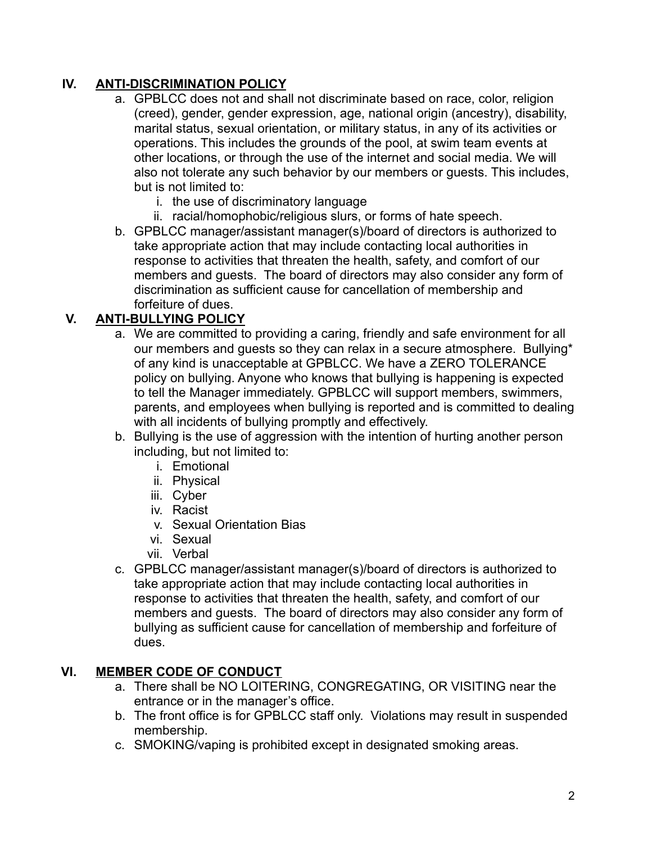## **IV. ANTI-DISCRIMINATION POLICY**

- a. GPBLCC does not and shall not discriminate based on race, color, religion (creed), gender, gender expression, age, national origin (ancestry), disability, marital status, sexual orientation, or military status, in any of its activities or operations. This includes the grounds of the pool, at swim team events at other locations, or through the use of the internet and social media. We will also not tolerate any such behavior by our members or guests. This includes, but is not limited to:
	- i. the use of discriminatory language
	- ii. racial/homophobic/religious slurs, or forms of hate speech.
- b. GPBLCC manager/assistant manager(s)/board of directors is authorized to take appropriate action that may include contacting local authorities in response to activities that threaten the health, safety, and comfort of our members and guests. The board of directors may also consider any form of discrimination as sufficient cause for cancellation of membership and forfeiture of dues.

# **V. ANTI-BULLYING POLICY**

- a. We are committed to providing a caring, friendly and safe environment for all our members and guests so they can relax in a secure atmosphere. Bullying\* of any kind is unacceptable at GPBLCC. We have a ZERO TOLERANCE policy on bullying. Anyone who knows that bullying is happening is expected to tell the Manager immediately. GPBLCC will support members, swimmers, parents, and employees when bullying is reported and is committed to dealing with all incidents of bullying promptly and effectively.
- b. Bullying is the use of aggression with the intention of hurting another person including, but not limited to:
	- i. Emotional
	- ii. Physical
	- iii. Cyber
	- iv. Racist
	- v. Sexual Orientation Bias
	- vi. Sexual
	- vii. Verbal
- c. GPBLCC manager/assistant manager(s)/board of directors is authorized to take appropriate action that may include contacting local authorities in response to activities that threaten the health, safety, and comfort of our members and guests. The board of directors may also consider any form of bullying as sufficient cause for cancellation of membership and forfeiture of dues.

## **VI. MEMBER CODE OF CONDUCT**

- a. There shall be NO LOITERING, CONGREGATING, OR VISITING near the entrance or in the manager's office.
- b. The front office is for GPBLCC staff only. Violations may result in suspended membership.
- c. SMOKING/vaping is prohibited except in designated smoking areas.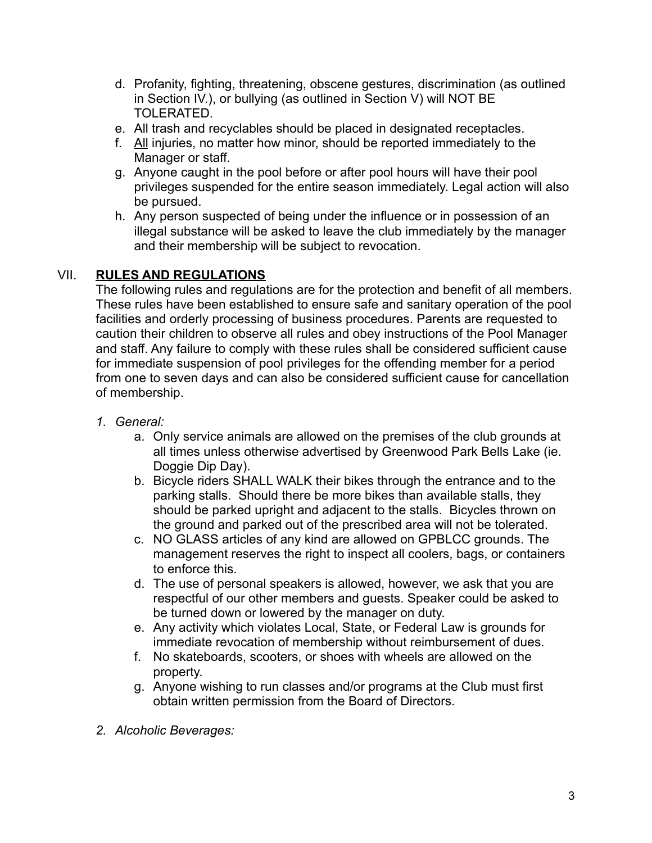- d. Profanity, fighting, threatening, obscene gestures, discrimination (as outlined in Section IV.), or bullying (as outlined in Section V) will NOT BE TOLERATED.
- e. All trash and recyclables should be placed in designated receptacles.
- f. All injuries, no matter how minor, should be reported immediately to the Manager or staff.
- g. Anyone caught in the pool before or after pool hours will have their pool privileges suspended for the entire season immediately. Legal action will also be pursued.
- h. Any person suspected of being under the influence or in possession of an illegal substance will be asked to leave the club immediately by the manager and their membership will be subject to revocation.

## VII. **RULES AND REGULATIONS**

The following rules and regulations are for the protection and benefit of all members. These rules have been established to ensure safe and sanitary operation of the pool facilities and orderly processing of business procedures. Parents are requested to caution their children to observe all rules and obey instructions of the Pool Manager and staff. Any failure to comply with these rules shall be considered sufficient cause for immediate suspension of pool privileges for the offending member for a period from one to seven days and can also be considered sufficient cause for cancellation of membership.

- *1. General:*
	- a. Only service animals are allowed on the premises of the club grounds at all times unless otherwise advertised by Greenwood Park Bells Lake (ie. Doggie Dip Day).
	- b. Bicycle riders SHALL WALK their bikes through the entrance and to the parking stalls. Should there be more bikes than available stalls, they should be parked upright and adjacent to the stalls. Bicycles thrown on the ground and parked out of the prescribed area will not be tolerated.
	- c. NO GLASS articles of any kind are allowed on GPBLCC grounds. The management reserves the right to inspect all coolers, bags, or containers to enforce this.
	- d. The use of personal speakers is allowed, however, we ask that you are respectful of our other members and guests. Speaker could be asked to be turned down or lowered by the manager on duty.
	- e. Any activity which violates Local, State, or Federal Law is grounds for immediate revocation of membership without reimbursement of dues.
	- f. No skateboards, scooters, or shoes with wheels are allowed on the property.
	- g. Anyone wishing to run classes and/or programs at the Club must first obtain written permission from the Board of Directors.
- *2. Alcoholic Beverages:*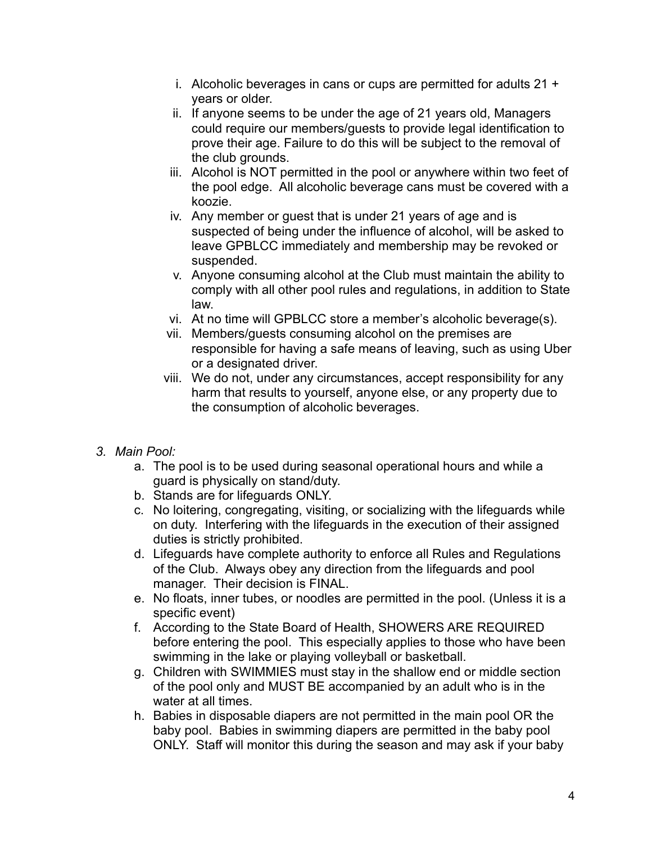- i. Alcoholic beverages in cans or cups are permitted for adults  $21 +$ years or older.
- ii. If anyone seems to be under the age of 21 years old, Managers could require our members/guests to provide legal identification to prove their age. Failure to do this will be subject to the removal of the club grounds.
- iii. Alcohol is NOT permitted in the pool or anywhere within two feet of the pool edge. All alcoholic beverage cans must be covered with a koozie.
- iv. Any member or guest that is under 21 years of age and is suspected of being under the influence of alcohol, will be asked to leave GPBLCC immediately and membership may be revoked or suspended.
- v. Anyone consuming alcohol at the Club must maintain the ability to comply with all other pool rules and regulations, in addition to State law.
- vi. At no time will GPBLCC store a member's alcoholic beverage(s).
- vii. Members/guests consuming alcohol on the premises are responsible for having a safe means of leaving, such as using Uber or a designated driver.
- viii. We do not, under any circumstances, accept responsibility for any harm that results to yourself, anyone else, or any property due to the consumption of alcoholic beverages.
- *3. Main Pool:*
	- a. The pool is to be used during seasonal operational hours and while a guard is physically on stand/duty.
	- b. Stands are for lifeguards ONLY.
	- c. No loitering, congregating, visiting, or socializing with the lifeguards while on duty. Interfering with the lifeguards in the execution of their assigned duties is strictly prohibited.
	- d. Lifeguards have complete authority to enforce all Rules and Regulations of the Club. Always obey any direction from the lifeguards and pool manager. Their decision is FINAL.
	- e. No floats, inner tubes, or noodles are permitted in the pool. (Unless it is a specific event)
	- f. According to the State Board of Health, SHOWERS ARE REQUIRED before entering the pool. This especially applies to those who have been swimming in the lake or playing volleyball or basketball.
	- g. Children with SWIMMIES must stay in the shallow end or middle section of the pool only and MUST BE accompanied by an adult who is in the water at all times.
	- h. Babies in disposable diapers are not permitted in the main pool OR the baby pool. Babies in swimming diapers are permitted in the baby pool ONLY. Staff will monitor this during the season and may ask if your baby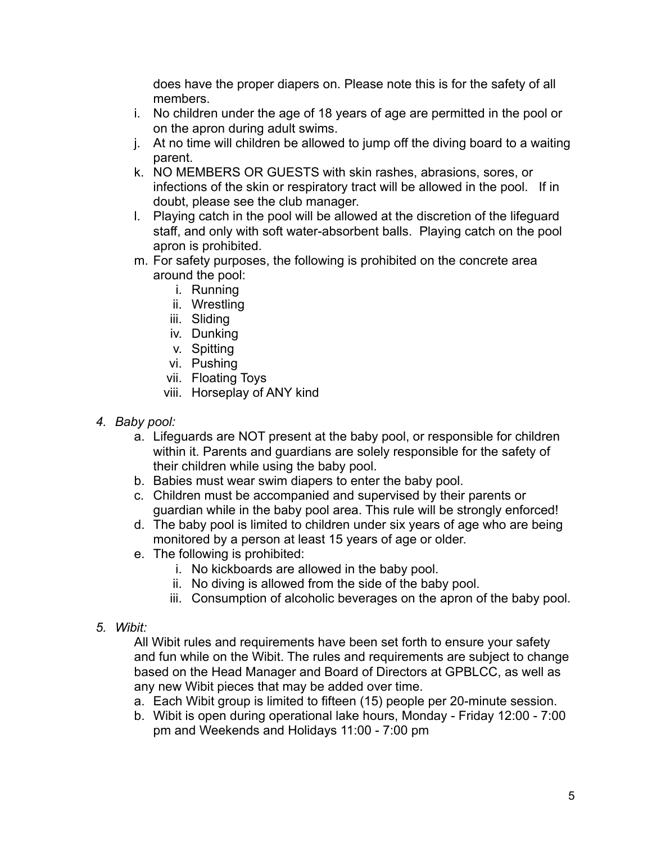does have the proper diapers on. Please note this is for the safety of all members.

- i. No children under the age of 18 years of age are permitted in the pool or on the apron during adult swims.
- j. At no time will children be allowed to jump off the diving board to a waiting parent.
- k. NO MEMBERS OR GUESTS with skin rashes, abrasions, sores, or infections of the skin or respiratory tract will be allowed in the pool. If in doubt, please see the club manager.
- l. Playing catch in the pool will be allowed at the discretion of the lifeguard staff, and only with soft water-absorbent balls. Playing catch on the pool apron is prohibited.
- m. For safety purposes, the following is prohibited on the concrete area around the pool:
	- i. Running
	- ii. Wrestling
	- iii. Sliding
	- iv. Dunking
	- v. Spitting
	- vi. Pushing
	- vii. Floating Toys
	- viii. Horseplay of ANY kind
- *4. Baby pool:*
	- a. Lifeguards are NOT present at the baby pool, or responsible for children within it. Parents and guardians are solely responsible for the safety of their children while using the baby pool.
	- b. Babies must wear swim diapers to enter the baby pool.
	- c. Children must be accompanied and supervised by their parents or guardian while in the baby pool area. This rule will be strongly enforced!
	- d. The baby pool is limited to children under six years of age who are being monitored by a person at least 15 years of age or older.
	- e. The following is prohibited:
		- i. No kickboards are allowed in the baby pool.
		- ii. No diving is allowed from the side of the baby pool.
		- iii. Consumption of alcoholic beverages on the apron of the baby pool.
- *5. Wibit:*

All Wibit rules and requirements have been set forth to ensure your safety and fun while on the Wibit. The rules and requirements are subject to change based on the Head Manager and Board of Directors at GPBLCC, as well as any new Wibit pieces that may be added over time.

- a. Each Wibit group is limited to fifteen (15) people per 20-minute session.
- b. Wibit is open during operational lake hours, Monday Friday 12:00 7:00 pm and Weekends and Holidays 11:00 - 7:00 pm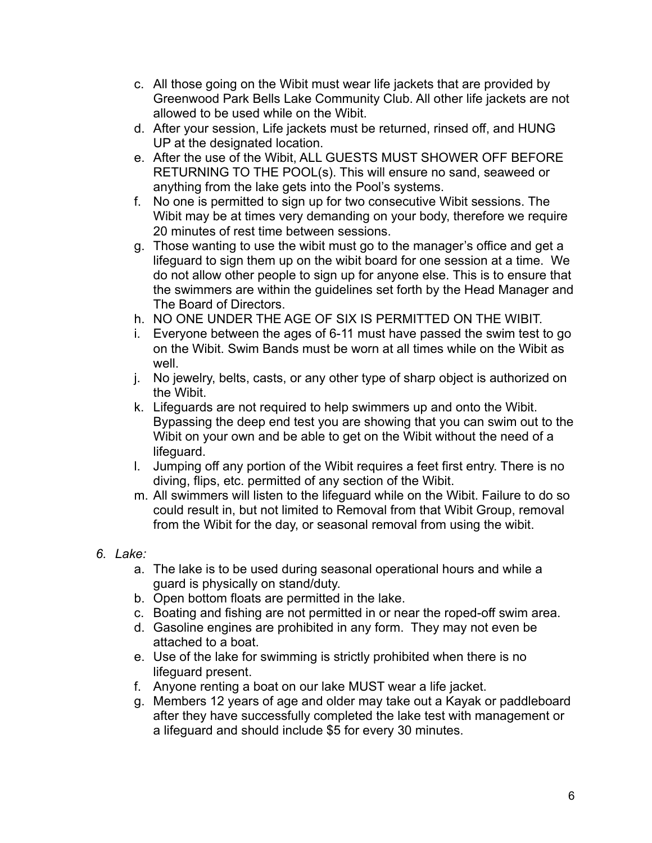- c. All those going on the Wibit must wear life jackets that are provided by Greenwood Park Bells Lake Community Club. All other life jackets are not allowed to be used while on the Wibit.
- d. After your session, Life jackets must be returned, rinsed off, and HUNG UP at the designated location.
- e. After the use of the Wibit, ALL GUESTS MUST SHOWER OFF BEFORE RETURNING TO THE POOL(s). This will ensure no sand, seaweed or anything from the lake gets into the Pool's systems.
- f. No one is permitted to sign up for two consecutive Wibit sessions. The Wibit may be at times very demanding on your body, therefore we require 20 minutes of rest time between sessions.
- g. Those wanting to use the wibit must go to the manager's office and get a lifeguard to sign them up on the wibit board for one session at a time. We do not allow other people to sign up for anyone else. This is to ensure that the swimmers are within the guidelines set forth by the Head Manager and The Board of Directors.
- h. NO ONE UNDER THE AGE OF SIX IS PERMITTED ON THE WIBIT.
- i. Everyone between the ages of 6-11 must have passed the swim test to go on the Wibit. Swim Bands must be worn at all times while on the Wibit as well.
- j. No jewelry, belts, casts, or any other type of sharp object is authorized on the Wibit.
- k. Lifeguards are not required to help swimmers up and onto the Wibit. Bypassing the deep end test you are showing that you can swim out to the Wibit on your own and be able to get on the Wibit without the need of a lifeguard.
- l. Jumping off any portion of the Wibit requires a feet first entry. There is no diving, flips, etc. permitted of any section of the Wibit.
- m. All swimmers will listen to the lifeguard while on the Wibit. Failure to do so could result in, but not limited to Removal from that Wibit Group, removal from the Wibit for the day, or seasonal removal from using the wibit.
- *6. Lake:*
	- a. The lake is to be used during seasonal operational hours and while a guard is physically on stand/duty.
	- b. Open bottom floats are permitted in the lake.
	- c. Boating and fishing are not permitted in or near the roped-off swim area.
	- d. Gasoline engines are prohibited in any form. They may not even be attached to a boat.
	- e. Use of the lake for swimming is strictly prohibited when there is no lifeguard present.
	- f. Anyone renting a boat on our lake MUST wear a life jacket.
	- g. Members 12 years of age and older may take out a Kayak or paddleboard after they have successfully completed the lake test with management or a lifeguard and should include \$5 for every 30 minutes.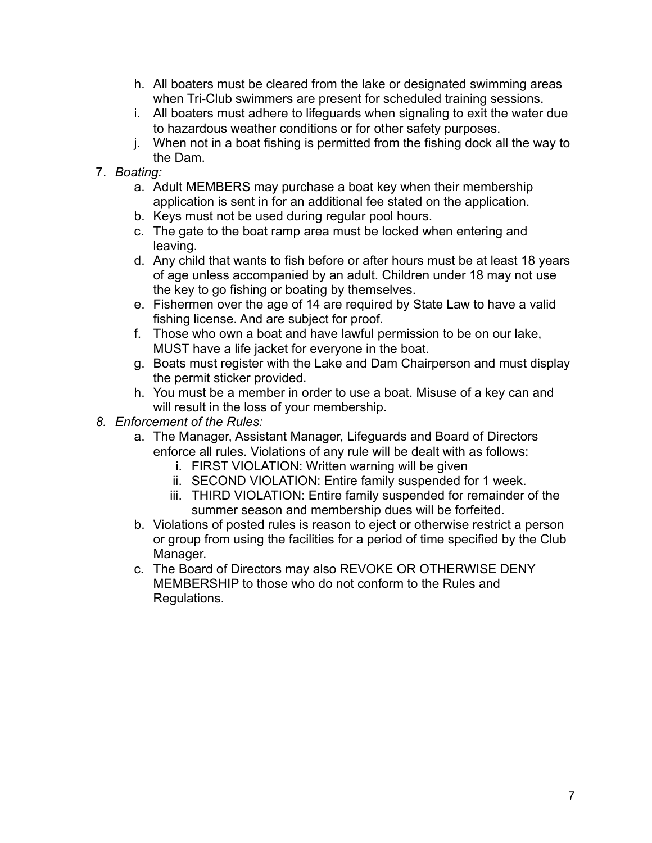- h. All boaters must be cleared from the lake or designated swimming areas when Tri-Club swimmers are present for scheduled training sessions.
- i. All boaters must adhere to lifeguards when signaling to exit the water due to hazardous weather conditions or for other safety purposes.
- j. When not in a boat fishing is permitted from the fishing dock all the way to the Dam.
- 7. *Boating:* 
	- a. Adult MEMBERS may purchase a boat key when their membership application is sent in for an additional fee stated on the application.
	- b. Keys must not be used during regular pool hours.
	- c. The gate to the boat ramp area must be locked when entering and leaving.
	- d. Any child that wants to fish before or after hours must be at least 18 years of age unless accompanied by an adult. Children under 18 may not use the key to go fishing or boating by themselves.
	- e. Fishermen over the age of 14 are required by State Law to have a valid fishing license. And are subject for proof.
	- f. Those who own a boat and have lawful permission to be on our lake, MUST have a life jacket for everyone in the boat.
	- g. Boats must register with the Lake and Dam Chairperson and must display the permit sticker provided.
	- h. You must be a member in order to use a boat. Misuse of a key can and will result in the loss of your membership.
- *8. Enforcement of the Rules:*
	- a. The Manager, Assistant Manager, Lifeguards and Board of Directors enforce all rules. Violations of any rule will be dealt with as follows:
		- i. FIRST VIOLATION: Written warning will be given
		- ii. SECOND VIOLATION: Entire family suspended for 1 week.
		- iii. THIRD VIOLATION: Entire family suspended for remainder of the summer season and membership dues will be forfeited.
	- b. Violations of posted rules is reason to eject or otherwise restrict a person or group from using the facilities for a period of time specified by the Club Manager.
	- c. The Board of Directors may also REVOKE OR OTHERWISE DENY MEMBERSHIP to those who do not conform to the Rules and Regulations.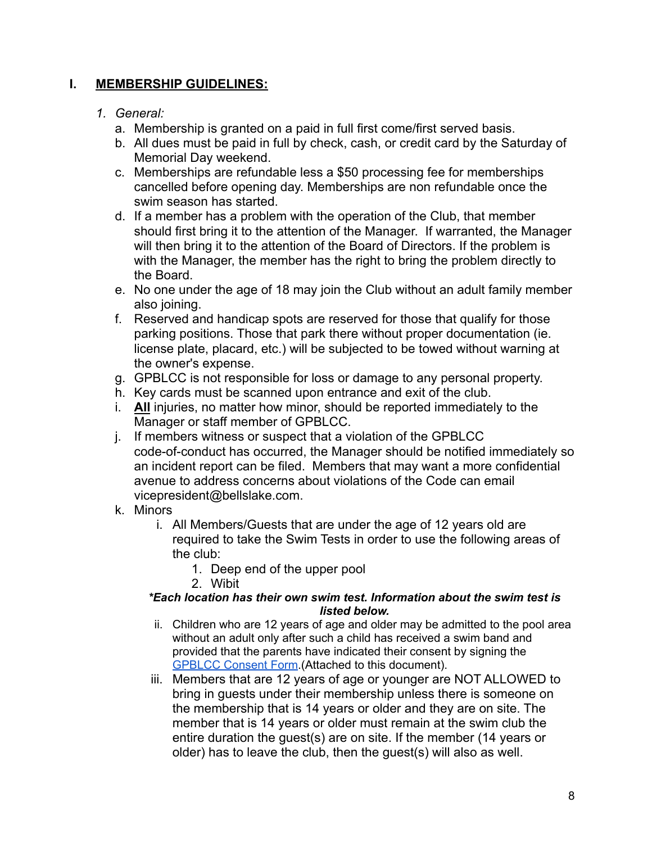### **I. MEMBERSHIP GUIDELINES:**

### *1. General:*

- a. Membership is granted on a paid in full first come/first served basis.
- b. All dues must be paid in full by check, cash, or credit card by the Saturday of Memorial Day weekend.
- c. Memberships are refundable less a \$50 processing fee for memberships cancelled before opening day. Memberships are non refundable once the swim season has started.
- d. If a member has a problem with the operation of the Club, that member should first bring it to the attention of the Manager. If warranted, the Manager will then bring it to the attention of the Board of Directors. If the problem is with the Manager, the member has the right to bring the problem directly to the Board.
- e. No one under the age of 18 may join the Club without an adult family member also joining.
- f. Reserved and handicap spots are reserved for those that qualify for those parking positions. Those that park there without proper documentation (ie. license plate, placard, etc.) will be subjected to be towed without warning at the owner's expense.
- g. GPBLCC is not responsible for loss or damage to any personal property.
- h. Key cards must be scanned upon entrance and exit of the club.
- i. **All** injuries, no matter how minor, should be reported immediately to the Manager or staff member of GPBLCC.
- j. If members witness or suspect that a violation of the GPBLCC code-of-conduct has occurred, the Manager should be notified immediately so an incident report can be filed. Members that may want a more confidential avenue to address concerns about violations of the Code can email vicepresident@bellslake.com.
- k. Minors
	- i. All Members/Guests that are under the age of 12 years old are required to take the Swim Tests in order to use the following areas of the club:
		- 1. Deep end of the upper pool
		- 2. Wibit

#### *\*Each location has their own swim test. Information about the swim test is listed below.*

- ii. Children who are 12 years of age and older may be admitted to the pool area without an adult only after such a child has received a swim band and provided that the parents have indicated their consent by signing the [GPBLCC Consent Form.](https://docs.google.com/document/d/1a_OU3bI1pBG80FrPfhxYdgeYQPLjR5gI/edit?usp=sharing&ouid=109866690753039127387&rtpof=true&sd=true)(Attached to this document).
- iii. Members that are 12 years of age or younger are NOT ALLOWED to bring in guests under their membership unless there is someone on the membership that is 14 years or older and they are on site. The member that is 14 years or older must remain at the swim club the entire duration the guest(s) are on site. If the member (14 years or older) has to leave the club, then the guest(s) will also as well.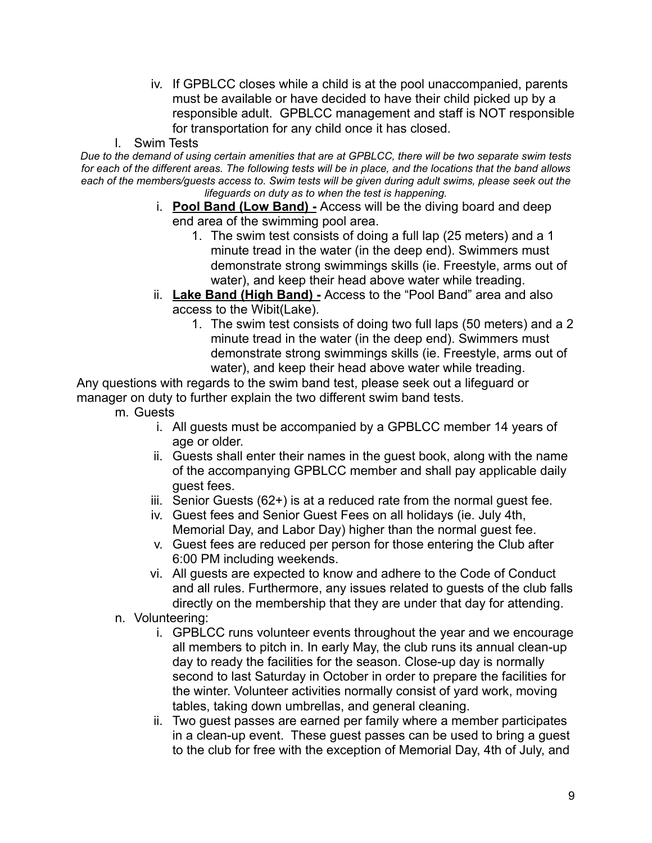- iv. If GPBLCC closes while a child is at the pool unaccompanied, parents must be available or have decided to have their child picked up by a responsible adult. GPBLCC management and staff is NOT responsible for transportation for any child once it has closed.
- l. Swim Tests

*Due to the demand of using certain amenities that are at GPBLCC, there will be two separate swim tests for each of the different areas. The following tests will be in place, and the locations that the band allows each of the members/guests access to. Swim tests will be given during adult swims, please seek out the lifeguards on duty as to when the test is happening.*

- i. **Pool Band (Low Band) -** Access will be the diving board and deep end area of the swimming pool area.
	- 1. The swim test consists of doing a full lap (25 meters) and a 1 minute tread in the water (in the deep end). Swimmers must demonstrate strong swimmings skills (ie. Freestyle, arms out of water), and keep their head above water while treading.
- ii. **Lake Band (High Band) -** Access to the "Pool Band" area and also access to the Wibit(Lake).
	- 1. The swim test consists of doing two full laps (50 meters) and a 2 minute tread in the water (in the deep end). Swimmers must demonstrate strong swimmings skills (ie. Freestyle, arms out of water), and keep their head above water while treading.

Any questions with regards to the swim band test, please seek out a lifeguard or manager on duty to further explain the two different swim band tests.

- m. Guests
	- i. All guests must be accompanied by a GPBLCC member 14 years of age or older.
	- ii. Guests shall enter their names in the guest book, along with the name of the accompanying GPBLCC member and shall pay applicable daily guest fees.
	- iii. Senior Guests (62+) is at a reduced rate from the normal guest fee.
	- iv. Guest fees and Senior Guest Fees on all holidays (ie. July 4th, Memorial Day, and Labor Day) higher than the normal guest fee.
	- v. Guest fees are reduced per person for those entering the Club after 6:00 PM including weekends.
	- vi. All guests are expected to know and adhere to the Code of Conduct and all rules. Furthermore, any issues related to guests of the club falls directly on the membership that they are under that day for attending.
- n. Volunteering:
	- i. GPBLCC runs volunteer events throughout the year and we encourage all members to pitch in. In early May, the club runs its annual clean-up day to ready the facilities for the season. Close-up day is normally second to last Saturday in October in order to prepare the facilities for the winter. Volunteer activities normally consist of yard work, moving tables, taking down umbrellas, and general cleaning.
	- ii. Two guest passes are earned per family where a member participates in a clean-up event. These guest passes can be used to bring a guest to the club for free with the exception of Memorial Day, 4th of July, and